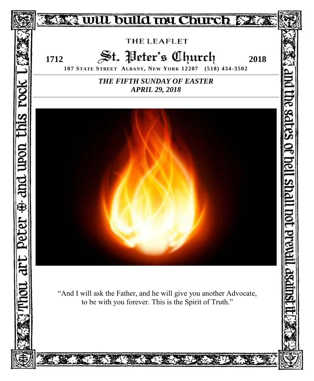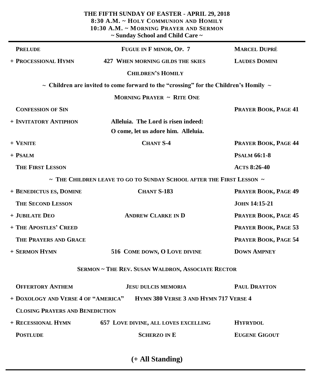|                                               | THE FIFTH SUNDAY OF EASTER - APRIL 29, 2018<br>8:30 A.M. ~ HOLY COMMUNION AND HOMILY<br>10:30 A.M. ~ MORNING PRAYER AND SERMON<br>~ Sunday School and Child Care ~ |                      |  |  |
|-----------------------------------------------|--------------------------------------------------------------------------------------------------------------------------------------------------------------------|----------------------|--|--|
| <b>PRELUDE</b>                                | FUGUE IN F MINOR, OP. 7                                                                                                                                            | <b>MARCEL DUPRÉ</b>  |  |  |
| + PROCESSIONAL HYMN                           | <b>427 WHEN MORNING GILDS THE SKIES</b>                                                                                                                            | <b>LAUDES DOMINI</b> |  |  |
|                                               | <b>CHILDREN'S HOMILY</b>                                                                                                                                           |                      |  |  |
|                                               | $\sim$ Children are invited to come forward to the "crossing" for the Children's Homily $\sim$                                                                     |                      |  |  |
|                                               | <b>MORNING PRAYER ~ RITE ONE</b>                                                                                                                                   |                      |  |  |
| <b>CONFESSION OF SIN</b>                      |                                                                                                                                                                    | PRAYER BOOK, PAGE 41 |  |  |
| + INVITATORY ANTIPHON                         | Alleluia. The Lord is risen indeed:<br>O come, let us adore him. Alleluia.                                                                                         |                      |  |  |
| + VENITE                                      | <b>CHANT S-4</b>                                                                                                                                                   | PRAYER BOOK, PAGE 44 |  |  |
| + PSALM                                       |                                                                                                                                                                    | <b>PSALM 66:1-8</b>  |  |  |
| <b>THE FIRST LESSON</b>                       |                                                                                                                                                                    | <b>ACTS 8:26-40</b>  |  |  |
|                                               | $\sim$ The Children leave to go to Sunday School after the First Lesson $\sim$                                                                                     |                      |  |  |
| <b>CHANT S-183</b><br>+ BENEDICTUS ES, DOMINE |                                                                                                                                                                    | PRAYER BOOK, PAGE 49 |  |  |
| <b>THE SECOND LESSON</b>                      |                                                                                                                                                                    | <b>JOHN 14:15-21</b> |  |  |
| + JUBILATE DEO                                | <b>ANDREW CLARKE IN D</b>                                                                                                                                          |                      |  |  |
| + THE APOSTLES' CREED                         |                                                                                                                                                                    | PRAYER BOOK, PAGE 53 |  |  |
| THE PRAYERS AND GRACE                         |                                                                                                                                                                    | PRAYER BOOK, PAGE 54 |  |  |
| + SERMON HYMN                                 | 516 COME DOWN, O LOVE DIVINE                                                                                                                                       | <b>DOWN AMPNEY</b>   |  |  |
|                                               | <b>SERMON ~ THE REV. SUSAN WALDRON, ASSOCIATE RECTOR</b>                                                                                                           |                      |  |  |
| <b>OFFERTORY ANTHEM</b>                       | <b>JESU DULCIS MEMORIA</b>                                                                                                                                         | <b>PAUL DRAYTON</b>  |  |  |
| + DOXOLOGY AND VERSE 4 OF "AMERICA"           | <b>HYMN 380 VERSE 3 AND HYMN 717 VERSE 4</b>                                                                                                                       |                      |  |  |
| <b>CLOSING PRAYERS AND BENEDICTION</b>        |                                                                                                                                                                    |                      |  |  |
| + RECESSIONAL HYMN                            | <b>657 LOVE DIVINE, ALL LOVES EXCELLING</b>                                                                                                                        | <b>HYFRYDOL</b>      |  |  |
| <b>POSTLUDE</b>                               | <b>SCHERZO IN E</b>                                                                                                                                                | <b>EUGENE GIGOUT</b> |  |  |

**(+ All Standing)**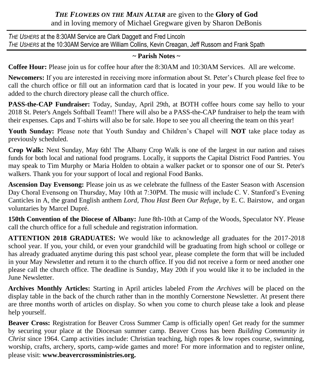# *THE FLOWERS ON THE MAIN ALTAR* are given to the **Glory of God** and in loving memory of Michael Gregware given by Sharon DeBonis

*THE USHERS* at the 8:30AM Service are Clark Daggett and Fred Lincoln *THE USHERS* at the 10:30AM Service are William Collins, Kevin Creagan, Jeff Russom and Frank Spath

## **~ Parish Notes ~**

**Coffee Hour:** Please join us for coffee hour after the 8:30AM and 10:30AM Services. All are welcome.

**Newcomers:** If you are interested in receiving more information about St. Peter's Church please feel free to call the church office or fill out an information card that is located in your pew. If you would like to be added to the church directory please call the church office.

**PASS-the-CAP Fundraiser:** Today, Sunday, April 29th, at BOTH coffee hours come say hello to your 2018 St. Peter's Angels Softball Team!! There will also be a PASS-the-CAP fundraiser to help the team with their expenses. Caps and T-shirts will also be for sale. Hope to see you all cheering the team on this year!

**Youth Sunday:** Please note that Youth Sunday and Children's Chapel will **NOT** take place today as previously scheduled.

**Crop Walk:** Next Sunday, May 6th! The Albany Crop Walk is one of the largest in our nation and raises funds for both local and national food programs. Locally, it supports the Capital District Food Pantries. You may speak to Tim Murphy or Maria Holden to obtain a walker packet or to sponsor one of our St. Peter's walkers. Thank you for your support of local and regional Food Banks.

**Ascension Day Evensong:** Please join us as we celebrate the fullness of the Easter Season with Ascension Day Choral Evensong on Thursday, May 10th at 7:30PM. The music will include C. V. Stanford's Evening Canticles in A, the grand English anthem *Lord, Thou Hast Been Our Refuge*, by E. C. Bairstow, and organ voluntaries by Marcel Dupré.

**150th Convention of the Diocese of Albany:** June 8th-10th at Camp of the Woods, Speculator NY. Please call the church office for a full schedule and registration information.

**ATTENTION 2018 GRADUATES:** We would like to acknowledge all graduates for the 2017-2018 school year. If you, your child, or even your grandchild will be graduating from high school or college or has already graduated anytime during this past school year, please complete the form that will be included in your May Newsletter and return it to the church office. If you did not receive a form or need another one please call the church office. The deadline is Sunday, May 20th if you would like it to be included in the June Newsletter.

**Archives Monthly Articles:** Starting in April articles labeled *From the Archives* will be placed on the display table in the back of the church rather than in the monthly Cornerstone Newsletter. At present there are three months worth of articles on display. So when you come to church please take a look and please help yourself.

**Beaver Cross:** Registration for Beaver Cross Summer Camp is officially open! Get ready for the summer by securing your place at the Diocesan summer camp. Beaver Cross has been *Building Community in Christ* since 1964. Camp activities include: Christian teaching, high ropes & low ropes course, swimming, worship, crafts, archery, sports, camp-wide games and more! For more information and to register online, please visit: **www.beavercrossministries.org.**